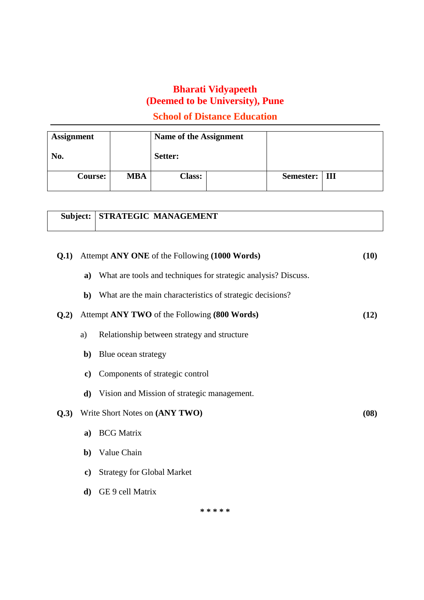# **School of Distance Education**

| <b>Assignment</b> |            | Name of the Assignment |  |                 |  |
|-------------------|------------|------------------------|--|-----------------|--|
| No.               |            | Setter:                |  |                 |  |
| <b>Course:</b>    | <b>MBA</b> | <b>Class:</b>          |  | Semester:   III |  |

|      | <b>Subject:   STRATEGIC MANAGEMENT</b>                                                                             |      |
|------|--------------------------------------------------------------------------------------------------------------------|------|
| 0.1) | Attempt ANY ONE of the Following (1000 Words)<br>a) What are tools and techniques for strategic analysis? Discuss. | (10) |

**b)** What are the main characteristics of strategic decisions?

#### **Q.2)** Attempt **ANY TWO** of the Following **(800 Words) (12)**

- a) Relationship between strategy and structure
- **b)** Blue ocean strategy
- **c)** Components of strategic control
- **d)** Vision and Mission of strategic management.

#### **Q.3)** Write Short Notes on **(ANY TWO) (08)**

- **a)** BCG Matrix
- **b)** Value Chain
- **c)** Strategy for Global Market
- **d)** GE 9 cell Matrix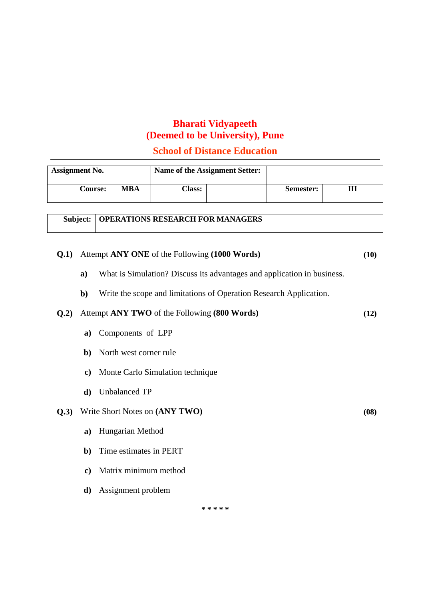## **School of Distance Education**

| <b>Assignment No.</b> |            |               | Name of the Assignment Setter: |           |  |
|-----------------------|------------|---------------|--------------------------------|-----------|--|
| <b>Course:</b>        | <b>MBA</b> | <b>Class:</b> |                                | Semester: |  |

## **Subject: OPERATIONS RESEARCH FOR MANAGERS**

# **Q.1)** Attempt **ANY ONE** of the Following **(1000 Words) (10)**

- **a)** What is Simulation? Discuss its advantages and application in business.
- **b)** Write the scope and limitations of Operation Research Application.

#### **Q.2)** Attempt **ANY TWO** of the Following **(800 Words) (12)**

- **a)** Components of LPP
- **b)** North west corner rule
- **c)** Monte Carlo Simulation technique
- **d)** Unbalanced TP

#### **Q.3)** Write Short Notes on **(ANY TWO) (08)**

- **a)** Hungarian Method
- **b)** Time estimates in PERT
- **c)** Matrix minimum method
- **d)** Assignment problem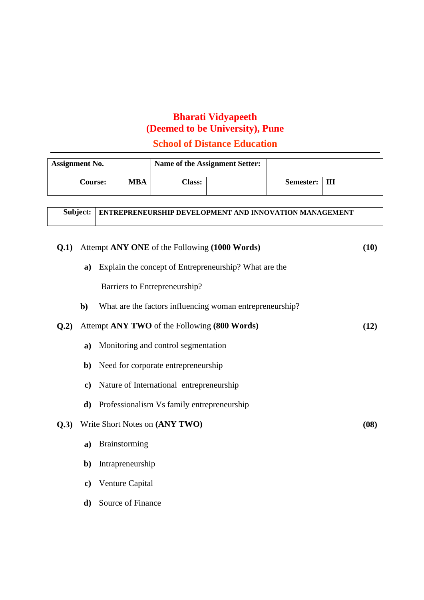# **School of Distance Education**

| <b>Assignment No.</b> |     |               | Name of the Assignment Setter: |           |   |
|-----------------------|-----|---------------|--------------------------------|-----------|---|
| <b>Course:</b>        | MBA | <b>Class:</b> |                                | Semester: | Ш |

| Subject:   ENTREPRENEURSHIP DEVELOPMENT AND INNOVATION MANAGEMENT |
|-------------------------------------------------------------------|
|                                                                   |

| Q.1) |               | Attempt ANY ONE of the Following (1000 Words)            | (10) |
|------|---------------|----------------------------------------------------------|------|
|      | a)            | Explain the concept of Entrepreneurship? What are the    |      |
|      |               | Barriers to Entrepreneurship?                            |      |
|      | $\mathbf{b}$  | What are the factors influencing woman entrepreneurship? |      |
| Q.2) |               | Attempt ANY TWO of the Following (800 Words)             | (12) |
|      | a)            | Monitoring and control segmentation                      |      |
|      |               | <b>b</b> ) Need for corporate entrepreneurship           |      |
|      | $\mathbf{c})$ | Nature of International entrepreneurship                 |      |
|      | d)            | Professionalism Vs family entrepreneurship               |      |
| Q.3) |               | Write Short Notes on (ANY TWO)                           | (08) |
|      | a)            | Brainstorming                                            |      |
|      | $\mathbf{b}$  | Intrapreneurship                                         |      |
|      | c)            | Venture Capital                                          |      |
|      | d)            | Source of Finance                                        |      |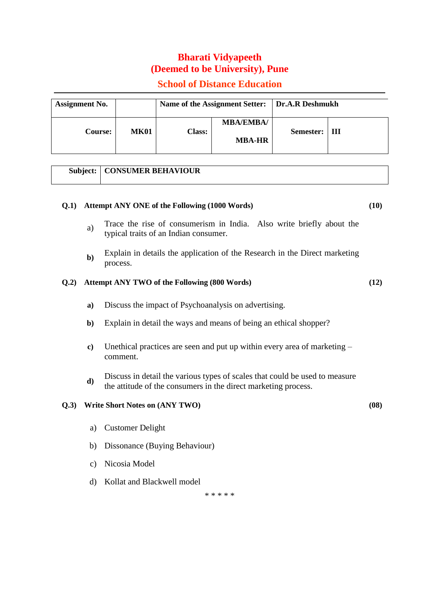## **School of Distance Education**

| <b>Assignment No.</b> |             | Name of the Assignment Setter:   Dr.A.R Deshmukh |                                   |           |   |
|-----------------------|-------------|--------------------------------------------------|-----------------------------------|-----------|---|
| <b>Course:</b>        | <b>MK01</b> | <b>Class:</b>                                    | <b>MBA/EMBA/</b><br><b>MBA-HR</b> | Semester: | Ш |

## **Subject: CONSUMER BEHAVIOUR**

#### **Q.1) Attempt ANY ONE of the Following (1000 Words) (10)**

- a) Trace the rise of consumerism in India. Also write briefly about the typical traits of an Indian consumer.
- Explain in details the application of the Research in the Direct marketing process. **b)**

#### **Q.2) Attempt ANY TWO of the Following (800 Words) (12)**

- **a)** Discuss the impact of Psychoanalysis on advertising.
- **b)** Explain in detail the ways and means of being an ethical shopper?
- **c)** Unethical practices are seen and put up within every area of marketing comment.
- **d)** Discuss in detail the various types of scales that could be used to measure the attitude of the consumers in the direct marketing process.

#### **Q.3) Write Short Notes on (ANY TWO) (08)**

- a) Customer Delight
- b) Dissonance (Buying Behaviour)
- c) Nicosia Model
- d) Kollat and Blackwell model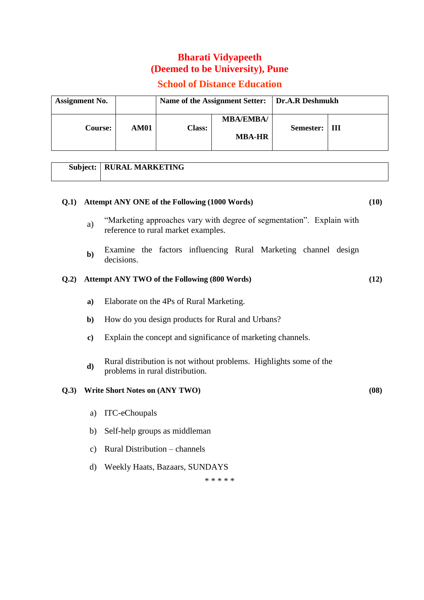# **School of Distance Education**

| <b>Assignment No.</b> |      | Name of the Assignment Setter:   Dr.A.R Deshmukh |                                   |                 |  |
|-----------------------|------|--------------------------------------------------|-----------------------------------|-----------------|--|
| <b>Course:</b>        | AM01 | <b>Class:</b>                                    | <b>MBA/EMBA/</b><br><b>MBA-HR</b> | Semester:   III |  |

# **Subject: RURAL MARKETING**

| Q.1  |               | Attempt ANY ONE of the Following (1000 Words)                                                                | (10) |
|------|---------------|--------------------------------------------------------------------------------------------------------------|------|
|      | a)            | "Marketing approaches vary with degree of segmentation". Explain with<br>reference to rural market examples. |      |
|      | $b$           | Examine the factors influencing Rural Marketing channel design<br>decisions.                                 |      |
| Q.2) |               | <b>Attempt ANY TWO of the Following (800 Words)</b>                                                          | (12) |
|      | a)            | Elaborate on the 4Ps of Rural Marketing.                                                                     |      |
|      | $\mathbf{b}$  | How do you design products for Rural and Urbans?                                                             |      |
|      | $\bf c)$      | Explain the concept and significance of marketing channels.                                                  |      |
|      | $\mathbf{d}$  | Rural distribution is not without problems. Highlights some of the<br>problems in rural distribution.        |      |
| Q.3) |               | Write Short Notes on (ANY TWO)                                                                               | (08) |
|      | a)            | ITC-eChoupals                                                                                                |      |
|      | b)            | Self-help groups as middleman                                                                                |      |
|      | $\mathbf{c})$ | Rural Distribution – channels                                                                                |      |
|      | d)            | Weekly Haats, Bazaars, SUNDAYS                                                                               |      |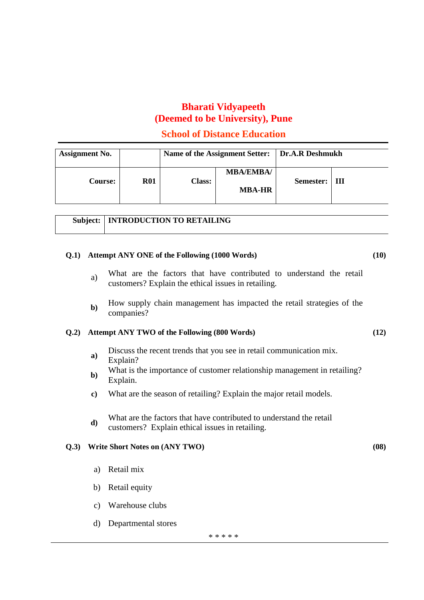#### **School of Distance Education**

| <b>Assignment No.</b> |            |               | Name of the Assignment Setter:   Dr.A.R Deshmukh |           |       |
|-----------------------|------------|---------------|--------------------------------------------------|-----------|-------|
| <b>Course:</b>        | <b>R01</b> | <b>Class:</b> | <b>MBA/EMBA/</b><br><b>MBA-HR</b>                | Semester: | - III |

# **Subject: INTRODUCTION TO RETAILING**

#### **Q.1) Attempt ANY ONE of the Following (1000 Words) (10)**

- a) What are the factors that have contributed to understand the retail customers? Explain the ethical issues in retailing.
- How supply chain management has impacted the retail strategies of the b) How supply companies?

#### **Q.2) Attempt ANY TWO of the Following (800 Words) (12)**

- **a**) Discuss the recent trends that you see in retail communication mix. Explain?
- **b)** What is the importance of customer relationship management in retailing?
- Explain.
- **c)** What are the season of retailing? Explain the major retail models.
- **d**) What are the factors that have contributed to understand the retail customers? Explain ethical issues in retailing.

#### **Q.3) Write Short Notes on (ANY TWO) (08)**

- a) Retail mix
- b) Retail equity
- c) Warehouse clubs
- d) Departmental stores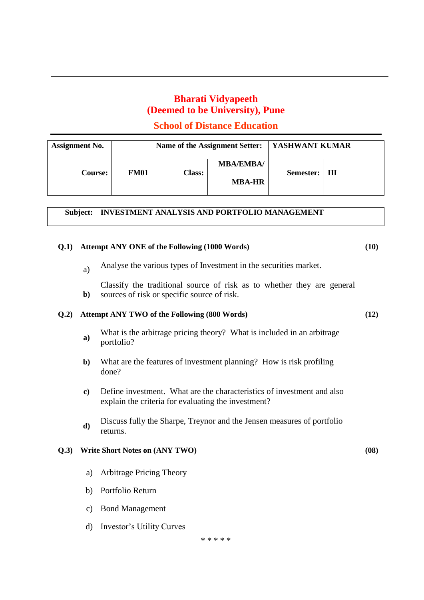## **School of Distance Education**

| <b>Assignment No.</b>         |               | Name of the Assignment Setter:    | <b>SASHWANT KUMAR</b> |   |
|-------------------------------|---------------|-----------------------------------|-----------------------|---|
| <b>FM01</b><br><b>Course:</b> | <b>Class:</b> | <b>MBA/EMBA/</b><br><b>MBA-HR</b> | Semester:             | Ш |

|  | Subject:   INVESTMENT ANALYSIS AND PORTFOLIO MANAGEMENT |
|--|---------------------------------------------------------|
|--|---------------------------------------------------------|

#### **Q.1) Attempt ANY ONE of the Following (1000 Words) (10)**

- a) Analyse the various types of Investment in the securities market.
- Classify the traditional source of risk as to whether they are general **b)** sources of risk or specific source of risk.

#### **Q.2) Attempt ANY TWO of the Following (800 Words) (12)**

- **a)** What is the arbitrage pricing theory? What is included in an arbitrage portfolio?
- **b)** What are the features of investment planning? How is risk profiling done?
- **c)** Define investment. What are the characteristics of investment and also explain the criteria for evaluating the investment?
- **d)** Discuss fully the Sharpe, Treynor and the Jensen measures of portfolio returns.

#### **Q.3) Write Short Notes on (ANY TWO) (08)**

- a) Arbitrage Pricing Theory
- b) Portfolio Return
- c) Bond Management
- d) Investor's Utility Curves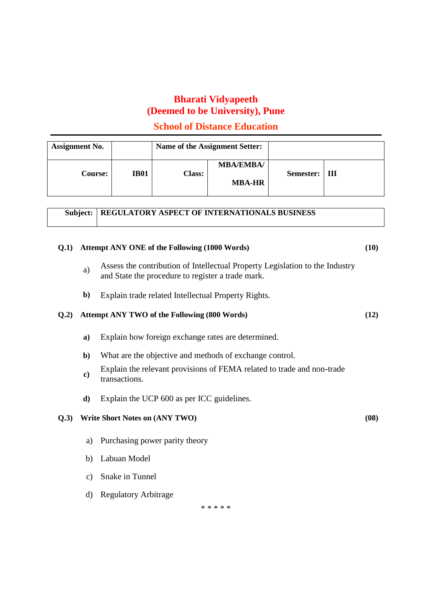#### **School of Distance Education**

| <b>Assignment No.</b> |             |               | Name of the Assignment Setter:    |           |   |
|-----------------------|-------------|---------------|-----------------------------------|-----------|---|
| <b>Course:</b>        | <b>IB01</b> | <b>Class:</b> | <b>MBA/EMBA/</b><br><b>MBA-HR</b> | Semester: | Ш |

|  | <b>Subject:   REGULATORY ASPECT OF INTERNATIONALS BUSINESS</b> |
|--|----------------------------------------------------------------|
|--|----------------------------------------------------------------|

# **Q.1) Attempt ANY ONE of the Following (1000 Words) (10)**

- a) Assess the contribution of Intellectual Property Legislation to the Industry and State the procedure to register a trade mark.
- **b)** Explain trade related Intellectual Property Rights.

#### **Q.2) Attempt ANY TWO of the Following (800 Words) (12)**

- **a)** Explain how foreign exchange rates are determined.
- **b)** What are the objective and methods of exchange control.
- **c)** Explain the relevant provisions of FEMA related to trade and non-trade transactions.
- **d)** Explain the UCP 600 as per ICC guidelines.

#### **Q.3) Write Short Notes on (ANY TWO) (08)**

- a) Purchasing power parity theory
- b) Labuan Model
- c) Snake in Tunnel
- d) Regulatory Arbitrage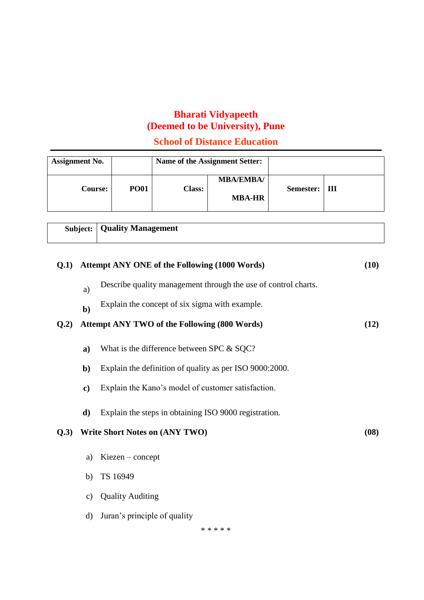**School of Distance Education**

| <b>Assignment No.</b> |             |               | Name of the Assignment Setter:    |           |   |
|-----------------------|-------------|---------------|-----------------------------------|-----------|---|
| <b>Course:</b>        | <b>PO01</b> | <b>Class:</b> | <b>MBA/EMBA/</b><br><b>MBA-HR</b> | Semester: | Ш |

|      | <b>Subject:</b>   Quality Management                           |      |
|------|----------------------------------------------------------------|------|
| O(1) | Attempt ANY ONE of the Following (1000 Words)                  | (10) |
| a)   | Describe quality management through the use of control charts. |      |
|      | Explain the concept of six sigma with example.                 |      |

#### **Q.2) Attempt ANY TWO of the Following (800 Words) (12)**

- **a)** What is the difference between SPC & SQC?
- **b)** Explain the definition of quality as per ISO 9000:2000.
- **c)** Explain the Kano's model of customer satisfaction.
- **d)** Explain the steps in obtaining ISO 9000 registration.

#### **Q.3) Write Short Notes on (ANY TWO) (08)**

- a) Kiezen concept
- b) TS 16949
- c) Quality Auditing
- d) Juran's principle of quality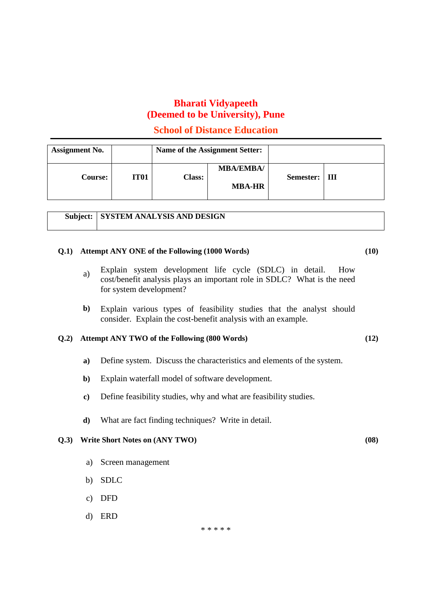## **School of Distance Education**

| <b>Assignment No.</b> |             |               | Name of the Assignment Setter:    |                 |  |
|-----------------------|-------------|---------------|-----------------------------------|-----------------|--|
| <b>Course:</b>        | <b>IT01</b> | <b>Class:</b> | <b>MBA/EMBA/</b><br><b>MBA-HR</b> | Semester:   III |  |

|  | <b>Subject:   SYSTEM ANALYSIS AND DESIGN</b> |
|--|----------------------------------------------|
|--|----------------------------------------------|

#### **Q.1) Attempt ANY ONE of the Following (1000 Words) (10)**

- a) Explain system development life cycle (SDLC) in detail. How cost/benefit analysis plays an important role in SDLC? What is the need for system development?
- Explain various types of feasibility studies that the analyst should consider. Explain the cost-benefit analysis with an example. **b)**

#### **Q.2) Attempt ANY TWO of the Following (800 Words) (12)**

- **a)** Define system. Discuss the characteristics and elements of the system.
- **b)** Explain waterfall model of software development.
- **c)** Define feasibility studies, why and what are feasibility studies.
- **d)** What are fact finding techniques? Write in detail.

#### **Q.3) Write Short Notes on (ANY TWO) (08)**

- a) Screen management
- b) SDLC
- c) DFD
- d) ERD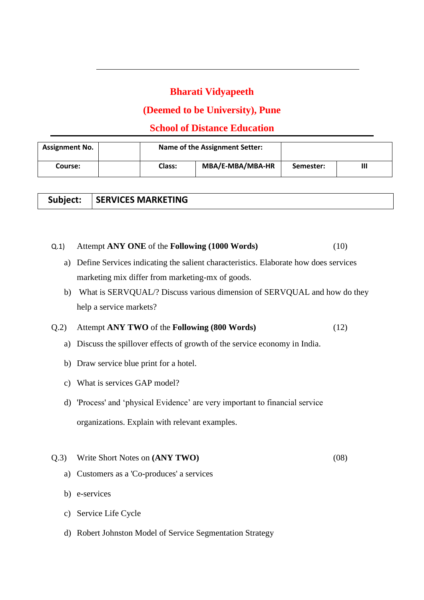# **(Deemed to be University), Pune**

# **School of Distance Education**

| <b>Assignment No.</b> |               | <b>Name of the Assignment Setter:</b> |           |  |
|-----------------------|---------------|---------------------------------------|-----------|--|
| Course:               | <b>Class:</b> | MBA/E-MBA/MBA-HR                      | Semester: |  |

|  | Subject:   SERVICES MARKETING |
|--|-------------------------------|
|--|-------------------------------|

#### Q.1) Attempt **ANY ONE** of the **Following (1000 Words)** (10)

- a) Define Services indicating the salient characteristics. Elaborate how does services marketing mix differ from marketing-mx of goods.
- b) What is SERVQUAL/? Discuss various dimension of SERVQUAL and how do they help a service markets?

#### Q.2) Attempt **ANY TWO** of the **Following (800 Words)** (12)

- a) Discuss the spillover effects of growth of the service economy in India.
- b) Draw service blue print for a hotel.
- c) What is services GAP model?
- d) 'Process' and 'physical Evidence' are very important to financial service organizations. Explain with relevant examples.

#### Q.3) Write Short Notes on **(ANY TWO)** (08)

- a) Customers as a 'Co-produces' a services
- b) e-services
- c) Service Life Cycle
- d) Robert Johnston Model of Service Segmentation Strategy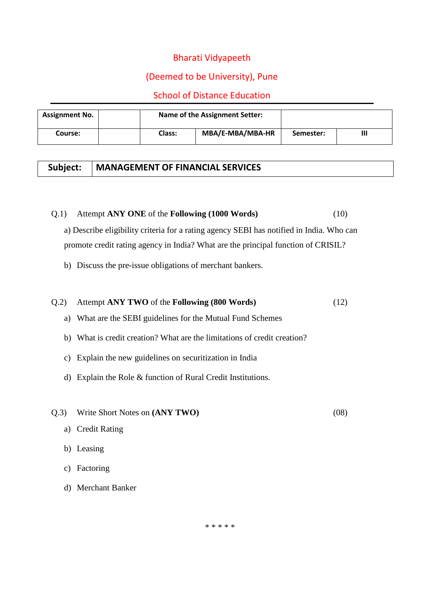# (Deemed to be University), Pune

## School of Distance Education

| <b>Assignment No.</b> |               | <b>Name of the Assignment Setter:</b> |           |   |
|-----------------------|---------------|---------------------------------------|-----------|---|
| Course:               | <b>Class:</b> | MBA/E-MBA/MBA-HR                      | Semester: | Ш |

## **Subject: MANAGEMENT OF FINANCIAL SERVICES**

#### Q.1) Attempt **ANY ONE** of the **Following (1000 Words)** (10)

a) Describe eligibility criteria for a rating agency SEBI has notified in India. Who can promote credit rating agency in India? What are the principal function of CRISIL?

b) Discuss the pre-issue obligations of merchant bankers.

# Q.2) Attempt **ANY TWO** of the **Following (800 Words)** (12)

- a) What are the SEBI guidelines for the Mutual Fund Schemes
- b) What is credit creation? What are the limitations of credit creation?
- c) Explain the new guidelines on securitization in India
- d) Explain the Role & function of Rural Credit Institutions.
- Q.3) Write Short Notes on **(ANY TWO)** (08)
- 

- a) Credit Rating
- b) Leasing
- c) Factoring
- d) Merchant Banker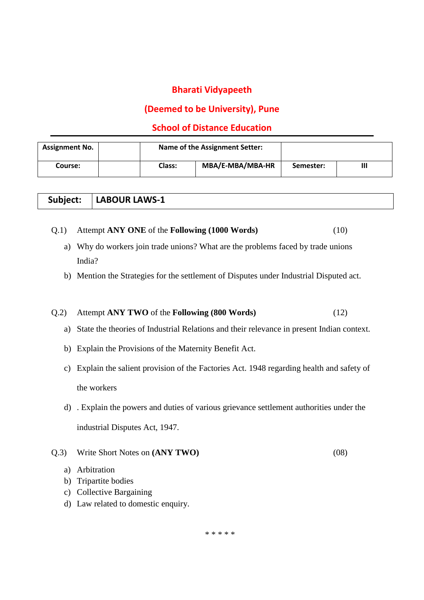## **(Deemed to be University), Pune**

## **School of Distance Education**

| <b>Assignment No.</b> |               | <b>Name of the Assignment Setter:</b> |           |  |
|-----------------------|---------------|---------------------------------------|-----------|--|
| Course:               | <b>Class:</b> | MBA/E-MBA/MBA-HR                      | Semester: |  |

|  | Subject:   LABOUR LAWS-1 |
|--|--------------------------|
|--|--------------------------|

#### Q.1) Attempt **ANY ONE** of the **Following (1000 Words)** (10)

- a) Why do workers join trade unions? What are the problems faced by trade unions India?
- b) Mention the Strategies for the settlement of Disputes under Industrial Disputed act.

#### Q.2) Attempt **ANY TWO** of the **Following (800 Words)** (12)

- a) State the theories of Industrial Relations and their relevance in present Indian context.
- b) Explain the Provisions of the Maternity Benefit Act.
- c) Explain the salient provision of the Factories Act. 1948 regarding health and safety of the workers
- d) . Explain the powers and duties of various grievance settlement authorities under the industrial Disputes Act, 1947.
- Q.3) Write Short Notes on **(ANY TWO)** (08)

- a) Arbitration
- b) Tripartite bodies
- c) Collective Bargaining
- d) Law related to domestic enquiry.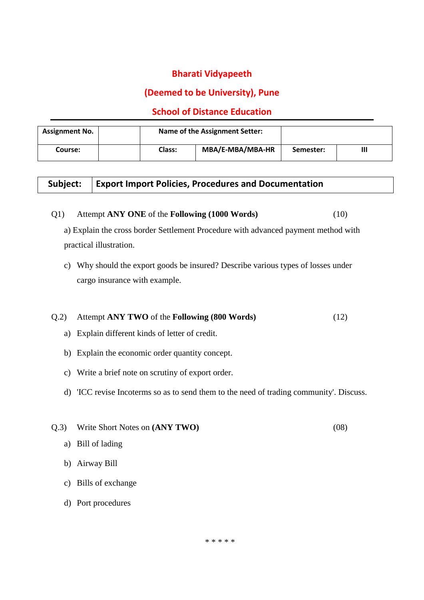# **(Deemed to be University), Pune**

## **School of Distance Education**

| <b>Assignment No.</b> |               | <b>Name of the Assignment Setter:</b> |           |  |
|-----------------------|---------------|---------------------------------------|-----------|--|
| Course:               | <b>Class:</b> | MBA/E-MBA/MBA-HR                      | Semester: |  |

## **Subject: Export Import Policies, Procedures and Documentation**

#### Q1) Attempt **ANY ONE** of the **Following (1000 Words)** (10)

a) Explain the cross border Settlement Procedure with advanced payment method with practical illustration.

c) Why should the export goods be insured? Describe various types of losses under cargo insurance with example.

#### Q.2) Attempt **ANY TWO** of the **Following (800 Words)** (12)

- a) Explain different kinds of letter of credit.
- b) Explain the economic order quantity concept.
- c) Write a brief note on scrutiny of export order.
- d) 'ICC revise Incoterms so as to send them to the need of trading community'. Discuss.
- Q.3) Write Short Notes on **(ANY TWO)** (08)
	- a) Bill of lading
	- b) Airway Bill
	- c) Bills of exchange
	- d) Port procedures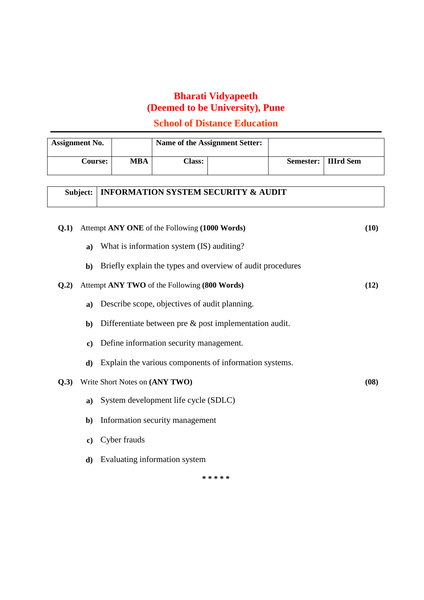# **School of Distance Education**

| <b>Assignment No.</b> |            | Name of the Assignment Setter: |  |                       |  |
|-----------------------|------------|--------------------------------|--|-----------------------|--|
| <b>Course:</b>        | <b>MBA</b> | <b>Class:</b>                  |  | Semester:   IIIrd Sem |  |

# **Subject: INFORMATION SYSTEM SECURITY & AUDIT**

| (0.1) |               | Attempt ANY ONE of the Following (1000 Words)              | (10) |
|-------|---------------|------------------------------------------------------------|------|
|       | a)            | What is information system (IS) auditing?                  |      |
|       | $\mathbf{b}$  | Briefly explain the types and overview of audit procedures |      |
| Q.2)  |               | Attempt ANY TWO of the Following (800 Words)               | (12) |
|       | a)            | Describe scope, objectives of audit planning.              |      |
|       | $\mathbf{b}$  | Differentiate between pre $\&$ post implementation audit.  |      |
|       | $\mathbf{c})$ | Define information security management.                    |      |
|       | d)            | Explain the various components of information systems.     |      |
| Q.3)  |               | Write Short Notes on (ANY TWO)                             | (08) |
|       | a)            | System development life cycle (SDLC)                       |      |
|       | $\mathbf{b}$  | Information security management                            |      |
|       | c)            | Cyber frauds                                               |      |
|       | d)            | Evaluating information system                              |      |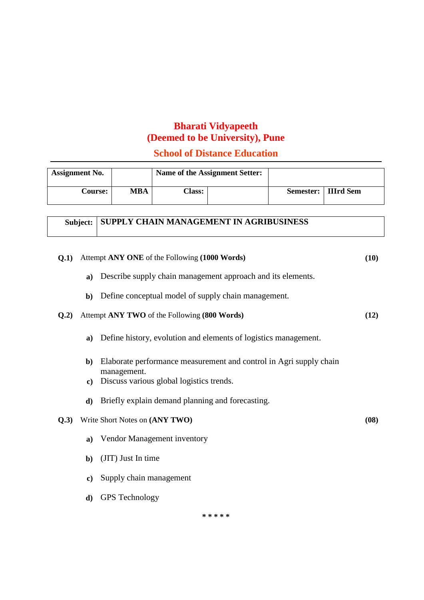# **School of Distance Education**

| <b>Assignment No.</b> |     | Name of the Assignment Setter: |  |                       |  |
|-----------------------|-----|--------------------------------|--|-----------------------|--|
| <b>Course:</b>        | MBA | Class:                         |  | Semester:   IIIrd Sem |  |

# **Subject: SUPPLY CHAIN MANAGEMENT IN AGRIBUSINESS**

| Q.1) |              | Attempt ANY ONE of the Following (1000 Words)                      | (10) |
|------|--------------|--------------------------------------------------------------------|------|
|      | $\mathbf{a}$ | Describe supply chain management approach and its elements.        |      |
|      | $\mathbf{b}$ | Define conceptual model of supply chain management.                |      |
| Q.2) |              | Attempt ANY TWO of the Following (800 Words)                       | (12) |
|      | a)           | Define history, evolution and elements of logistics management.    |      |
|      | b)           | Elaborate performance measurement and control in Agri supply chain |      |
|      | $\bf c)$     | management.<br>Discuss various global logistics trends.            |      |
|      | d)           | Briefly explain demand planning and forecasting.                   |      |
| Q.3) |              | Write Short Notes on (ANY TWO)                                     | (08) |
|      | a)           | Vendor Management inventory                                        |      |
|      | $\mathbf{b}$ | (JIT) Just In time                                                 |      |
|      | $\bf c)$     | Supply chain management                                            |      |
|      | $\mathbf{d}$ | <b>GPS</b> Technology                                              |      |
|      |              |                                                                    |      |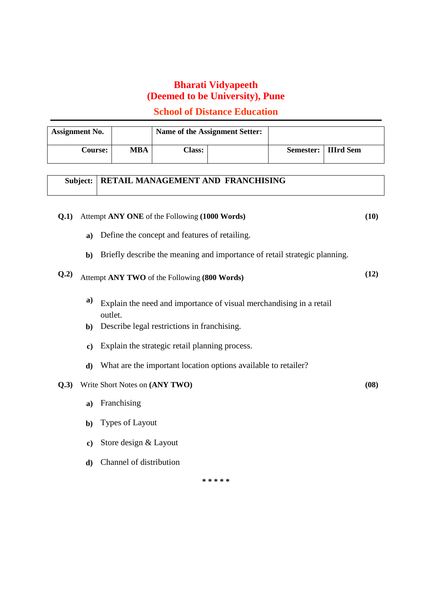# **School of Distance Education**

| <b>Assignment No.</b> |            | Name of the Assignment Setter: |  |                       |
|-----------------------|------------|--------------------------------|--|-----------------------|
| <b>Course:</b>        | <b>MBA</b> | <b>Class:</b>                  |  | Semester:   IIIrd Sem |

# **Subject: RETAIL MANAGEMENT AND FRANCHISING**

| O(.1) |               | Attempt ANY ONE of the Following (1000 Words)                                  | (10) |
|-------|---------------|--------------------------------------------------------------------------------|------|
|       | a)            | Define the concept and features of retailing.                                  |      |
|       | b)            | Briefly describe the meaning and importance of retail strategic planning.      |      |
| Q.2)  |               | Attempt ANY TWO of the Following (800 Words)                                   | (12) |
|       | a)            | Explain the need and importance of visual merchandising in a retail<br>outlet. |      |
|       | $\mathbf{b}$  | Describe legal restrictions in franchising.                                    |      |
|       | $\bf c)$      | Explain the strategic retail planning process.                                 |      |
|       | d)            | What are the important location options available to retailer?                 |      |
| Q.3)  |               | Write Short Notes on (ANY TWO)                                                 | (08) |
|       | $\mathbf{a}$  | Franchising                                                                    |      |
|       | $\mathbf{b}$  | Types of Layout                                                                |      |
|       | $\mathbf{c})$ | Store design & Layout                                                          |      |
|       | $\mathbf{d}$  | Channel of distribution                                                        |      |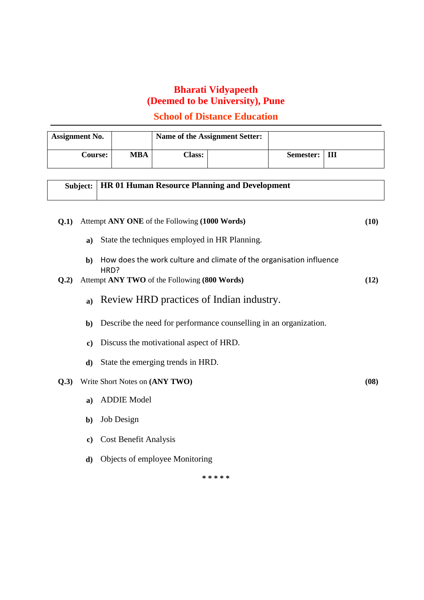# **School of Distance Education**

| <b>Assignment No.</b> |            | Name of the Assignment Setter: |  |                 |  |
|-----------------------|------------|--------------------------------|--|-----------------|--|
| <b>Course:</b>        | <b>MBA</b> | <b>Class:</b>                  |  | Semester:   III |  |

|      | Subject:     | <b>HR 01 Human Resource Planning and Development</b>                        |      |
|------|--------------|-----------------------------------------------------------------------------|------|
| Q.1) |              | Attempt ANY ONE of the Following (1000 Words)                               | (10) |
|      | $\mathbf{a}$ | State the techniques employed in HR Planning.                               |      |
|      | $\mathbf{b}$ | How does the work culture and climate of the organisation influence<br>HRD? |      |
| Q.2) |              | Attempt ANY TWO of the Following (800 Words)                                | (12) |
|      | $\bf{a}$ )   | Review HRD practices of Indian industry.                                    |      |
|      | $\mathbf{b}$ | Describe the need for performance counselling in an organization.           |      |
|      | $\bf c)$     | Discuss the motivational aspect of HRD.                                     |      |
|      | $\mathbf{d}$ | State the emerging trends in HRD.                                           |      |
| Q.3) |              | Write Short Notes on (ANY TWO)                                              | (08) |
|      | $\mathbf{a}$ | <b>ADDIE Model</b>                                                          |      |
|      | $\mathbf{b}$ | Job Design                                                                  |      |
|      | $\bf c)$     | Cost Benefit Analysis                                                       |      |
|      | d)           | Objects of employee Monitoring                                              |      |
|      |              |                                                                             |      |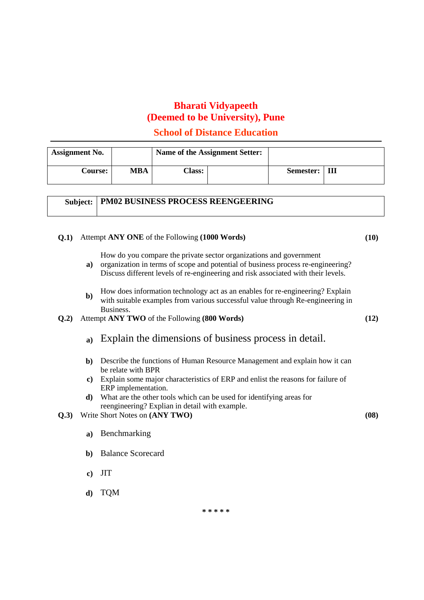## **School of Distance Education**

| <b>Assignment No.</b> |     | Name of the Assignment Setter: |  |                 |  |
|-----------------------|-----|--------------------------------|--|-----------------|--|
| <b>Course:</b>        | MBA | <b>Class:</b>                  |  | Semester:   III |  |

## **Subject: PM02 BUSINESS PROCESS REENGEERING**

#### **Q.1)** Attempt **ANY ONE** of the Following **(1000 Words) (10)**

How do you compare the private sector organizations and government

- **a)** organization in terms of scope and potential of business process re-engineering? Discuss different levels of re-engineering and risk associated with their levels.
- **b**) How does information technology act as an enables for re-engineering? Explain with suitable examples from various successful value through Re-engineering in Business.
- **Q.2)** Attempt **ANY TWO** of the Following **(800 Words) (12)**
	- **a)** Explain the dimensions of business process in detail.
	- **b)** Describe the functions of Human Resource Management and explain how it can be relate with BPR
	- **c)** Explain some major characteristics of ERP and enlist the reasons for failure of ERP implementation.
	- **d)** What are the other tools which can be used for identifying areas for reengineering? Explian in detail with example.
- **Q.3)** Write Short Notes on **(ANY TWO) (08)**
	- **a)** Benchmarking
	- **b)** Balance Scorecard
	- **c)** JIT
	- **d)** TQM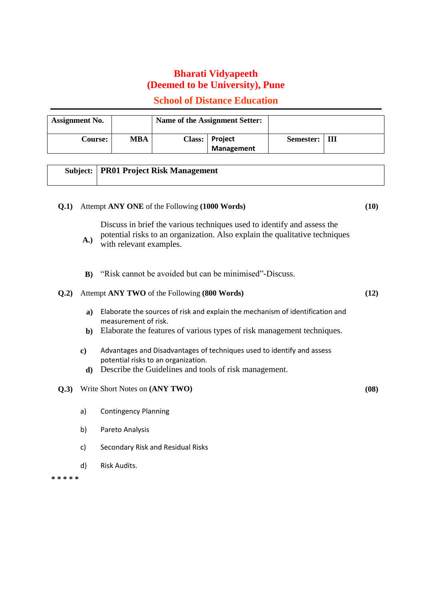## **School of Distance Education**

| <b>Assignment No.</b> |     | Name of the Assignment Setter: |                                     |                 |  |
|-----------------------|-----|--------------------------------|-------------------------------------|-----------------|--|
| <b>Course:</b>        | MBA |                                | Class: Project<br><b>Management</b> | Semester:   III |  |

#### **Subject: PR01 Project Risk Management**

#### **Q.1)** Attempt **ANY ONE** of the Following **(1000 Words) (10)**

**A.)** Discuss in brief the various techniques used to identify and assess the potential risks to an organization. Also explain the qualitative techniques with relevant examples.

**B)** "Risk cannot be avoided but can be minimised"-Discuss.

#### **Q.2)** Attempt **ANY TWO** of the Following **(800 Words) (12)**

- **a)** Elaborate the sources of risk and explain the mechanism of identification and measurement of risk.
- **b)** Elaborate the features of various types of risk management techniques.
- **c)** Advantages and Disadvantages of techniques used to identify and assess potential risks to an organization.
- **d)** Describe the Guidelines and tools of risk management.

#### **Q.3)** Write Short Notes on **(ANY TWO) (08)**

- a) Contingency Planning
- b) Pareto Analysis
- c) Secondary Risk and Residual Risks
- d) Risk Audits.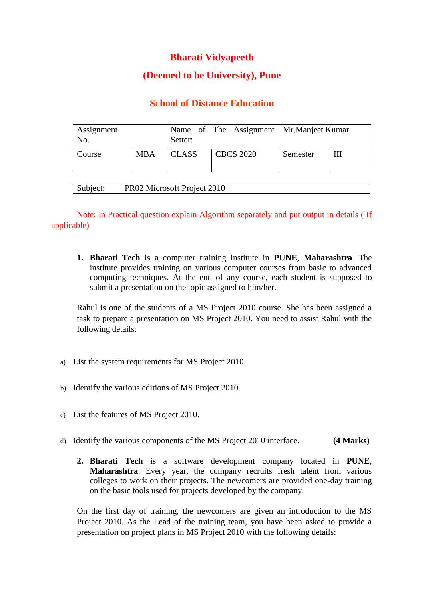# **(Deemed to be University), Pune**

# **School of Distance Education**

| Assignment<br>No. |            | Setter:      | Name of The Assignment   Mr. Manjeet Kumar |          |   |
|-------------------|------------|--------------|--------------------------------------------|----------|---|
| Course            | <b>MBA</b> | <b>CLASS</b> | <b>CBCS 2020</b>                           | Semester | Ш |
|                   |            |              |                                            |          |   |

| Subject: | <b>PR02 Microsoft Project 2010</b> |
|----------|------------------------------------|
|----------|------------------------------------|

Note: In Practical question explain Algorithm separately and put output in details ( If applicable)

**1. Bharati Tech** is a computer training institute in **PUNE**, **Maharashtra**. The institute provides training on various computer courses from basic to advanced computing techniques. At the end of any course, each student is supposed to submit a presentation on the topic assigned to him/her.

Rahul is one of the students of a MS Project 2010 course. She has been assigned a task to prepare a presentation on MS Project 2010. You need to assist Rahul with the following details:

- a) List the system requirements for MS Project 2010.
- b) Identify the various editions of MS Project 2010.
- c) List the features of MS Project 2010.
- d) Identify the various components of the MS Project 2010 interface. **(4 Marks)**
	- **2. Bharati Tech** is a software development company located in **PUNE**, **Maharashtra**. Every year, the company recruits fresh talent from various colleges to work on their projects. The newcomers are provided one-day training on the basic tools used for projects developed by the company.

On the first day of training, the newcomers are given an introduction to the MS Project 2010. As the Lead of the training team, you have been asked to provide a presentation on project plans in MS Project 2010 with the following details: